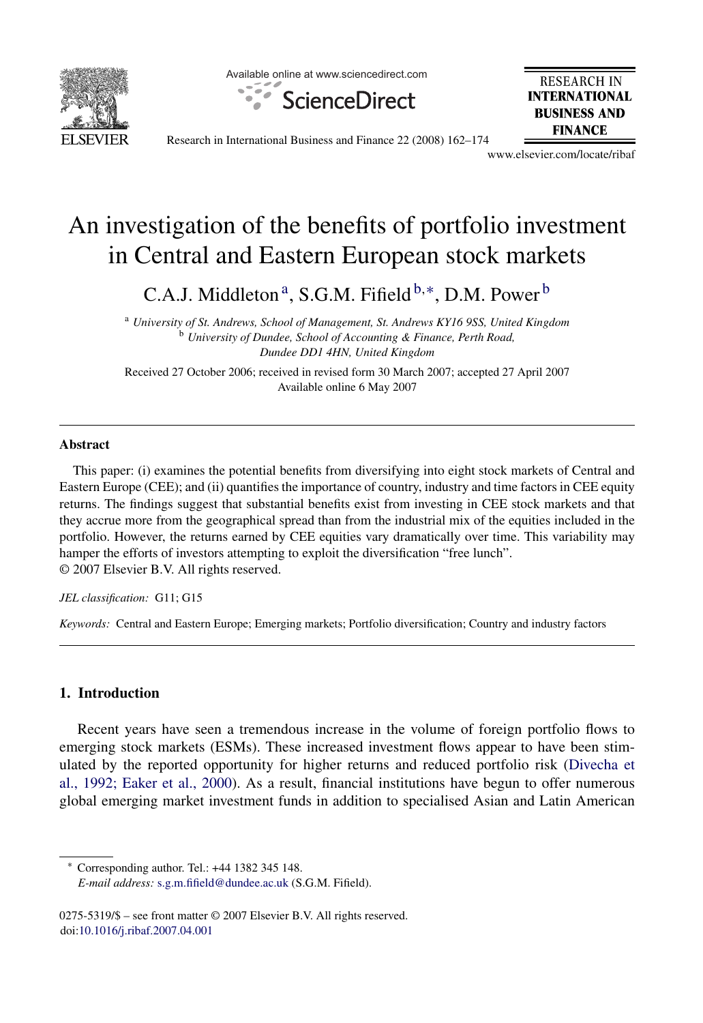

Available online at www.sciencedirect.com



**RESEARCH IN INTERNATIONAL BUSINESS AND FINANCE** 

Research in International Business and Finance 22 (2008) 162–174

www.elsevier.com/locate/ribaf

## An investigation of the benefits of portfolio investment in Central and Eastern European stock markets

C.A.J. Middleton<sup>a</sup>, S.G.M. Fifield <sup>b,∗</sup>, D.M. Power <sup>b</sup>

<sup>a</sup> *University of St. Andrews, School of Management, St. Andrews KY16 9SS, United Kingdom* <sup>b</sup> *University of Dundee, School of Accounting & Finance, Perth Road, Dundee DD1 4HN, United Kingdom*

Received 27 October 2006; received in revised form 30 March 2007; accepted 27 April 2007 Available online 6 May 2007

#### **Abstract**

This paper: (i) examines the potential benefits from diversifying into eight stock markets of Central and Eastern Europe (CEE); and (ii) quantifies the importance of country, industry and time factors in CEE equity returns. The findings suggest that substantial benefits exist from investing in CEE stock markets and that they accrue more from the geographical spread than from the industrial mix of the equities included in the portfolio. However, the returns earned by CEE equities vary dramatically over time. This variability may hamper the efforts of investors attempting to exploit the diversification "free lunch". © 2007 Elsevier B.V. All rights reserved.

#### *JEL classification:* G11; G15

*Keywords:* Central and Eastern Europe; Emerging markets; Portfolio diversification; Country and industry factors

### **1. Introduction**

Recent years have seen a tremendous increase in the volume of foreign portfolio flows to emerging stock markets (ESMs). These increased investment flows appear to have been stimulated by the reported opportunity for higher returns and reduced portfolio risk [\(Divecha et](#page--1-0) [al., 1992; Eaker et al., 2000\).](#page--1-0) As a result, financial institutions have begun to offer numerous global emerging market investment funds in addition to specialised Asian and Latin American

∗ Corresponding author. Tel.: +44 1382 345 148. *E-mail address:* [s.g.m.fifield@dundee.ac.uk](mailto:s.g.m.fifield@dundee.ac.uk) (S.G.M. Fifield).

<sup>0275-5319/\$ –</sup> see front matter © 2007 Elsevier B.V. All rights reserved. doi[:10.1016/j.ribaf.2007.04.001](dx.doi.org/10.1016/j.ribaf.2007.04.001)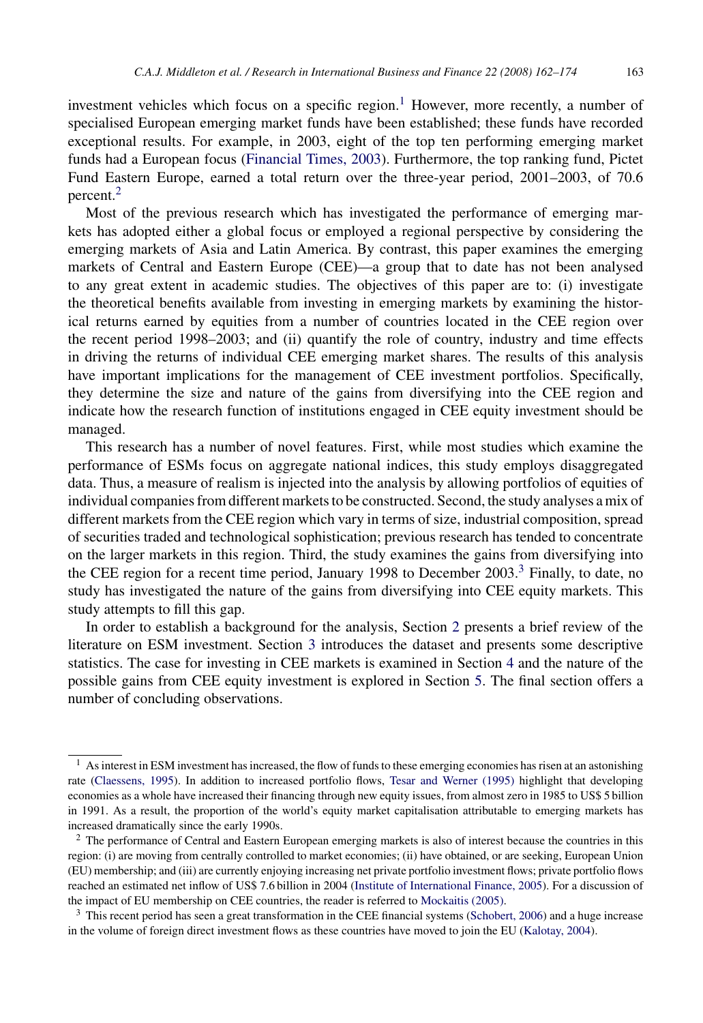investment vehicles which focus on a specific region.<sup>1</sup> However, more recently, a number of specialised European emerging market funds have been established; these funds have recorded exceptional results. For example, in 2003, eight of the top ten performing emerging market funds had a European focus ([Financial Times, 2003\).](#page--1-0) Furthermore, the top ranking fund, Pictet Fund Eastern Europe, earned a total return over the three-year period, 2001–2003, of 70.6 percent.2

Most of the previous research which has investigated the performance of emerging markets has adopted either a global focus or employed a regional perspective by considering the emerging markets of Asia and Latin America. By contrast, this paper examines the emerging markets of Central and Eastern Europe (CEE)—a group that to date has not been analysed to any great extent in academic studies. The objectives of this paper are to: (i) investigate the theoretical benefits available from investing in emerging markets by examining the historical returns earned by equities from a number of countries located in the CEE region over the recent period 1998–2003; and (ii) quantify the role of country, industry and time effects in driving the returns of individual CEE emerging market shares. The results of this analysis have important implications for the management of CEE investment portfolios. Specifically, they determine the size and nature of the gains from diversifying into the CEE region and indicate how the research function of institutions engaged in CEE equity investment should be managed.

This research has a number of novel features. First, while most studies which examine the performance of ESMs focus on aggregate national indices, this study employs disaggregated data. Thus, a measure of realism is injected into the analysis by allowing portfolios of equities of individual companies from different markets to be constructed. Second, the study analyses a mix of different markets from the CEE region which vary in terms of size, industrial composition, spread of securities traded and technological sophistication; previous research has tended to concentrate on the larger markets in this region. Third, the study examines the gains from diversifying into the CEE region for a recent time period, January 1998 to December 2003.<sup>3</sup> Finally, to date, no study has investigated the nature of the gains from diversifying into CEE equity markets. This study attempts to fill this gap.

In order to establish a background for the analysis, Section [2](#page--1-0) presents a brief review of the literature on ESM investment. Section [3](#page--1-0) introduces the dataset and presents some descriptive statistics. The case for investing in CEE markets is examined in Section [4](#page--1-0) and the nature of the possible gains from CEE equity investment is explored in Section [5.](#page--1-0) The final section offers a number of concluding observations.

 $<sup>1</sup>$  As interest in ESM investment has increased, the flow of funds to these emerging economies has risen at an astonishing</sup> rate ([Claessens, 1995\).](#page--1-0) In addition to increased portfolio flows, [Tesar and Werner \(1995\)](#page--1-0) highlight that developing economies as a whole have increased their financing through new equity issues, from almost zero in 1985 to US\$ 5 billion in 1991. As a result, the proportion of the world's equity market capitalisation attributable to emerging markets has increased dramatically since the early 1990s.

<sup>&</sup>lt;sup>2</sup> The performance of Central and Eastern European emerging markets is also of interest because the countries in this region: (i) are moving from centrally controlled to market economies; (ii) have obtained, or are seeking, European Union (EU) membership; and (iii) are currently enjoying increasing net private portfolio investment flows; private portfolio flows reached an estimated net inflow of US\$ 7.6 billion in 2004 ([Institute of International Finance, 2005\).](#page--1-0) For a discussion of the impact of EU membership on CEE countries, the reader is referred to [Mockaitis \(2005\).](#page--1-0)

<sup>&</sup>lt;sup>3</sup> This recent period has seen a great transformation in the CEE financial systems ([Schobert, 2006\) a](#page--1-0)nd a huge increase in the volume of foreign direct investment flows as these countries have moved to join the EU [\(Kalotay, 2004\).](#page--1-0)